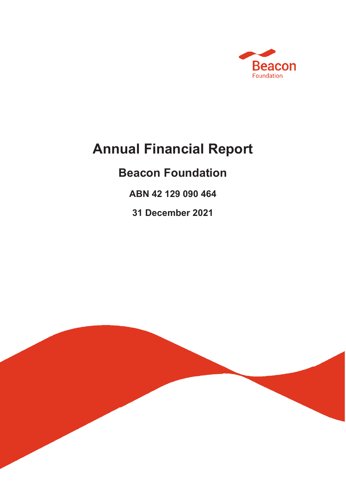

# **Annual Financial Report**

# **Beacon Foundation**

**ABN 42 129 090 464**

**31 December 2021**

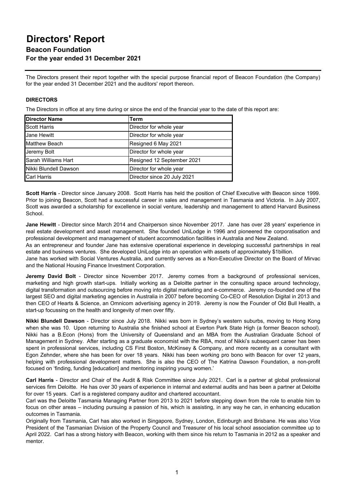The Directors present their report together with the special purpose financial report of Beacon Foundation (the Company) for the year ended 31 December 2021 and the auditors' report thereon.

### **DIRECTORS**

The Directors in office at any time during or since the end of the financial year to the date of this report are:

| <b>Director Name</b>       | Term                        |
|----------------------------|-----------------------------|
| <b>Scott Harris</b>        | Director for whole year     |
| <b>Jane Hewitt</b>         | Director for whole year     |
| <b>Matthew Beach</b>       | Resigned 6 May 2021         |
| Jeremy Bolt                | Director for whole year     |
| <b>Sarah Williams Hart</b> | Resigned 12 September 2021  |
| Nikki Blundell Dawson      | Director for whole year     |
| <b>Carl Harris</b>         | Director since 20 July 2021 |

**Scott Harris** - Director since January 2008. Scott Harris has held the position of Chief Executive with Beacon since 1999. Prior to joining Beacon, Scott had a successful career in sales and management in Tasmania and Victoria. In July 2007, Scott was awarded a scholarship for excellence in social venture, leadership and management to attend Harvard Business School.

**Jane Hewitt** - Director since March 2014 and Chairperson since November 2017. Jane has over 28 years' experience in real estate development and asset management. She founded UniLodge in 1996 and pioneered the corporatisation and professional development and management of student accommodation facilities in Australia and New Zealand.

As an entrepreneur and founder Jane has extensive operational experience in developing successful partnerships in real estate and business ventures. She developed UniLodge into an operation with assets of approximately \$1billion.

Jane has worked with Social Ventures Australia, and currently serves as a Non-Executive Director on the Board of Mirvac and the National Housing Finance Investment Corporation.

**Jeremy David Bolt** - Director since November 2017. Jeremy comes from a background of professional services, marketing and high growth start-ups. Initially working as a Deloitte partner in the consulting space around technology, digital transformation and outsourcing before moving into digital marketing and e-commerce. Jeremy co-founded one of the largest SEO and digital marketing agencies in Australia in 2007 before becoming Co-CEO of Resolution Digital in 2013 and then CEO of Hearts & Science, an Omnicom advertising agency in 2019. Jeremy is now the Founder of Old Bull Health, a start-up focussing on the health and longevity of men over fifty.

**Nikki Blundell Dawson** - Director since July 2018. Nikki was born in Sydney's western suburbs, moving to Hong Kong when she was 10. Upon returning to Australia she finished school at Everton Park State High (a former Beacon school). Nikki has a B.Econ (Hons) from the University of Queensland and an MBA from the Australian Graduate School of Management in Sydney. After starting as a graduate economist with the RBA, most of Nikki's subsequent career has been spent in professional services, including CS First Boston, McKinsey & Company, and more recently as a consultant with Egon Zehnder, where she has been for over 18 years. Nikki has been working pro bono with Beacon for over 12 years, helping with professional development matters. She is also the CEO of The Katrina Dawson Foundation, a non-profit focused on 'finding, funding [education] and mentoring inspiring young women.'

**Carl Harris** - Director and Chair of the Audit & Risk Committee since July 2021. Carl is a partner at global professional services firm Deloitte. He has over 30 years of experience in internal and external audits and has been a partner at Deloitte for over 15 years. Carl is a registered company auditor and chartered accountant.

Carl was the Deloitte Tasmania Managing Partner from 2013 to 2021 before stepping down from the role to enable him to focus on other areas – including pursuing a passion of his, which is assisting, in any way he can, in enhancing education outcomes in Tasmania.

Originally from Tasmania, Carl has also worked in Singapore, Sydney, London, Edinburgh and Brisbane. He was also Vice President of the Tasmanian Division of the Property Council and Treasurer of his local school association committee up to April 2022. Carl has a strong history with Beacon, working with them since his return to Tasmania in 2012 as a speaker and mentor.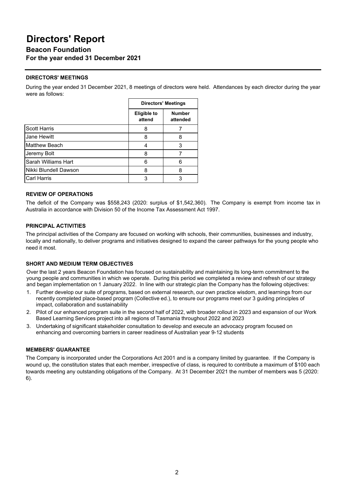# **Directors' Report**

**Beacon Foundation For the year ended 31 December 2021**

### **DIRECTORS' MEETINGS**

During the year ended 31 December 2021, 8 meetings of directors were held. Attendances by each director during the year were as follows:

|                       | <b>Directors' Meetings</b>   |                           |
|-----------------------|------------------------------|---------------------------|
|                       | <b>Eligible to</b><br>attend | <b>Number</b><br>attended |
| <b>Scott Harris</b>   | 8                            |                           |
| <b>Jane Hewitt</b>    | 8                            | 8                         |
| <b>Matthew Beach</b>  |                              | 3                         |
| Jeremy Bolt           | 8                            |                           |
| Sarah Williams Hart   | 6                            | 6                         |
| Nikki Blundell Dawson | 8                            | 8                         |
| <b>Carl Harris</b>    | 3                            |                           |

### **REVIEW OF OPERATIONS**

The deficit of the Company was \$558,243 (2020: surplus of \$1,542,360). The Company is exempt from income tax in Australia in accordance with Division 50 of the Income Tax Assessment Act 1997.

### **PRINCIPAL ACTIVITIES**

The principal activities of the Company are focused on working with schools, their communities, businesses and industry, locally and nationally, to deliver programs and initiatives designed to expand the career pathways for the young people who need it most.

### **SHORT AND MEDIUM TERM OBJECTIVES**

Over the last 2 years Beacon Foundation has focused on sustainability and maintaining its long-term commitment to the young people and communities in which we operate. During this period we completed a review and refresh of our strategy and began implementation on 1 January 2022. In line with our strategic plan the Company has the following objectives:

- 1. Further develop our suite of programs, based on external research, our own practice wisdom, and learnings from our recently completed place-based program (Collective ed.), to ensure our programs meet our 3 guiding principles of impact, collaboration and sustainability
- 2. Pilot of our enhanced program suite in the second half of 2022, with broader rollout in 2023 and expansion of our Work Based Learning Services project into all regions of Tasmania throughout 2022 and 2023
- 3. Undertaking of significant stakeholder consultation to develop and execute an advocacy program focused on enhancing and overcoming barriers in career readiness of Australian year 9-12 students

### **MEMBERS' GUARANTEE**

The Company is incorporated under the Corporations Act 2001 and is a company limited by guarantee. If the Company is wound up, the constitution states that each member, irrespective of class, is required to contribute a maximum of \$100 each towards meeting any outstanding obligations of the Company. At 31 December 2021 the number of members was 5 (2020: 6).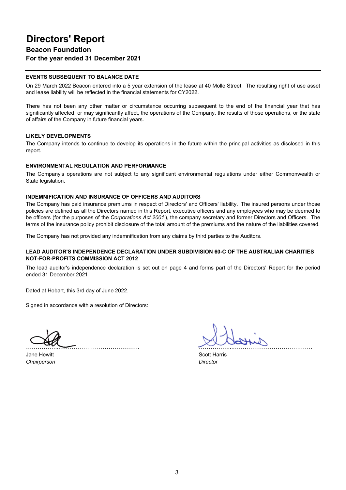### **EVENTS SUBSEQUENT TO BALANCE DATE**

On 29 March 2022 Beacon entered into a 5 year extension of the lease at 40 Molle Street. The resulting right of use asset and lease liability will be reflected in the financial statements for CY2022.

There has not been any other matter or circumstance occurring subsequent to the end of the financial year that has significantly affected, or may significantly affect, the operations of the Company, the results of those operations, or the state of affairs of the Company in future financial years.

### **LIKELY DEVELOPMENTS**

The Company intends to continue to develop its operations in the future within the principal activities as disclosed in this report.

#### **ENVIRONMENTAL REGULATION AND PERFORMANCE**

The Company's operations are not subject to any significant environmental regulations under either Commonwealth or State legislation.

#### **INDEMNIFICATION AND INSURANCE OF OFFICERS AND AUDITORS**

The Company has paid insurance premiums in respect of Directors' and Officers' liability. The insured persons under those policies are defined as all the Directors named in this Report, executive officers and any employees who may be deemed to be officers (for the purposes of the *Corporations Act 2001* ), the company secretary and former Directors and Officers. The terms of the insurance policy prohibit disclosure of the total amount of the premiums and the nature of the liabilities covered.

The Company has not provided any indemnification from any claims by third parties to the Auditors.

### **LEAD AUDITOR'S INDEPENDENCE DECLARATION UNDER SUBDIVISION 60-C OF THE AUSTRALIAN CHARITIES NOT-FOR-PROFITS COMMISSION ACT 2012**

The lead auditor's independence declaration is set out on page 4 and forms part of the Directors' Report for the period ended 31 December 2021

Dated at Hobart, this 3rd day of June 2022.

Signed in accordance with a resolution of Directors:

Jane Hewitt **Scott Harris** Scott Harris **Scott Harris** *Chairperson Director*

……………...…….……………………………. ……………...…….…………………………….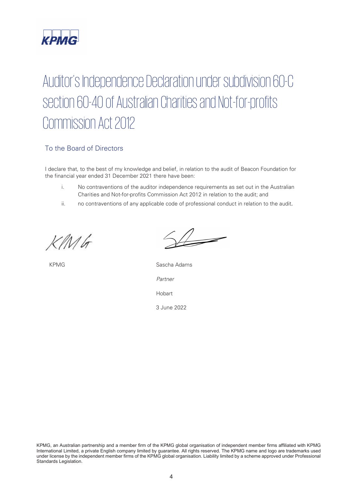

# Auditor's Independence Declaration under subdivision 60-C section 60-40 of Australian Charities and Not-for-profits Commission Act 2012

### To the Board of Directors

I declare that, to the best of my knowledge and belief, in relation to the audit of Beacon Foundation for the financial year ended 31 December 2021 there have been:

- i. No contraventions of the auditor independence requirements as set out in the Australian Charities and Not-for-profits Commission Act 2012 in relation to the audit; and
- ii. no contraventions of any applicable code of professional conduct in relation to the audit.

*KPM\_INI\_01*

KPMG Sascha Adams *Partner* Hobart 3 June 2022

KPMG, an Australian partnership and a member firm of the KPMG global organisation of independent member firms affiliated with KPMG International Limited, a private English company limited by guarantee. All rights reserved. The KPMG name and logo are trademarks used under license by the independent member firms of the KPMG global organisation. Liability limited by a scheme approved under Professional Standards Legislation.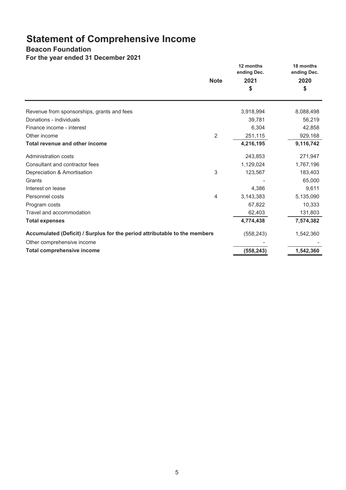# **Statement of Comprehensive Income**

### **Beacon Foundation**

**For the year ended 31 December 2021**

|                                                                            | <b>Note</b>    | 12 months<br>ending Dec.<br>2021<br>\$ | 18 months<br>ending Dec.<br>2020<br>\$ |
|----------------------------------------------------------------------------|----------------|----------------------------------------|----------------------------------------|
| Revenue from sponsorships, grants and fees                                 |                | 3,918,994                              | 8,088,498                              |
| Donations - individuals                                                    |                | 39,781                                 | 56,219                                 |
| Finance income - interest                                                  |                | 6,304                                  | 42,858                                 |
| Other income                                                               | $\overline{2}$ | 251,115                                | 929,168                                |
| Total revenue and other income                                             |                | 4,216,195                              | 9,116,742                              |
| <b>Administration costs</b>                                                |                | 243,853                                | 271,947                                |
| Consultant and contractor fees                                             |                | 1,129,024                              | 1,767,196                              |
| Depreciation & Amortisation                                                | 3              | 123,567                                | 183,403                                |
| Grants                                                                     |                |                                        | 65,000                                 |
| Interest on lease                                                          |                | 4,386                                  | 9,611                                  |
| Personnel costs                                                            | 4              | 3,143,383                              | 5,135,090                              |
| Program costs                                                              |                | 67,822                                 | 10,333                                 |
| Travel and accommodation                                                   |                | 62,403                                 | 131,803                                |
| <b>Total expenses</b>                                                      |                | 4,774,438                              | 7,574,382                              |
| Accumulated (Deficit) / Surplus for the period attributable to the members |                | (558, 243)                             | 1,542,360                              |
| Other comprehensive income                                                 |                |                                        |                                        |
| <b>Total comprehensive income</b>                                          |                | (558, 243)                             | 1,542,360                              |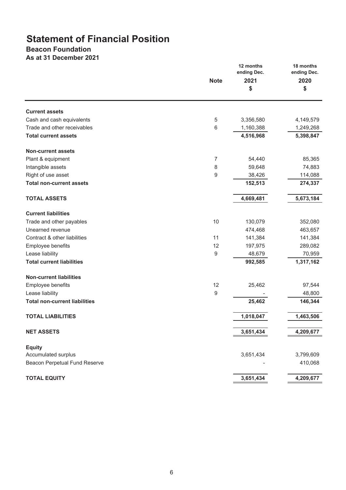# **Statement of Financial Position**

## **Beacon Foundation**

**As at 31 December 2021**

|                                      | <b>Note</b>    | 12 months<br>ending Dec.<br>2021<br>\$ | 18 months<br>ending Dec.<br>2020<br>\$ |
|--------------------------------------|----------------|----------------------------------------|----------------------------------------|
|                                      |                |                                        |                                        |
| <b>Current assets</b>                |                |                                        |                                        |
| Cash and cash equivalents            | 5              | 3,356,580                              | 4,149,579                              |
| Trade and other receivables          | 6              | 1,160,388                              | 1,249,268                              |
| <b>Total current assets</b>          |                | 4,516,968                              | 5,398,847                              |
| <b>Non-current assets</b>            |                |                                        |                                        |
| Plant & equipment                    | $\overline{7}$ | 54,440                                 | 85,365                                 |
| Intangible assets                    | 8              | 59,648                                 | 74,883                                 |
| Right of use asset                   | 9              | 38,426                                 | 114,088                                |
| <b>Total non-current assets</b>      |                | 152,513                                | 274,337                                |
| <b>TOTAL ASSETS</b>                  |                | 4,669,481                              | 5,673,184                              |
| <b>Current liabilities</b>           |                |                                        |                                        |
| Trade and other payables             | 10             | 130,079                                | 352,080                                |
| Unearned revenue                     |                | 474,468                                | 463,657                                |
| Contract & other liabilities         | 11             | 141,384                                | 141,384                                |
| Employee benefits                    | 12             | 197,975                                | 289,082                                |
| Lease liability                      | 9              | 48,679                                 | 70,959                                 |
| <b>Total current liabilities</b>     |                | 992,585                                | 1,317,162                              |
| <b>Non-current liabilities</b>       |                |                                        |                                        |
| Employee benefits                    | 12             | 25,462                                 | 97,544                                 |
| Lease liability                      | 9              |                                        | 48,800                                 |
| <b>Total non-current liabilities</b> |                | 25,462                                 | 146,344                                |
| <b>TOTAL LIABILITIES</b>             |                | 1,018,047                              | 1,463,506                              |
|                                      |                |                                        |                                        |
| <b>NET ASSETS</b>                    |                | 3,651,434                              | 4,209,677                              |
| <b>Equity</b>                        |                |                                        |                                        |
| Accumulated surplus                  |                | 3,651,434                              | 3,799,609                              |
| <b>Beacon Perpetual Fund Reserve</b> |                |                                        | 410,068                                |
| <b>TOTAL EQUITY</b>                  |                | 3,651,434                              | 4,209,677                              |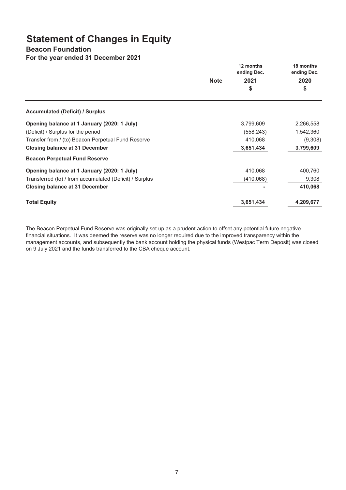# **Statement of Changes in Equity**

### **Beacon Foundation**

**For the year ended 31 December 2021**

|                                                         |             | 12 months<br>ending Dec. | 18 months<br>ending Dec. |
|---------------------------------------------------------|-------------|--------------------------|--------------------------|
|                                                         | <b>Note</b> | 2021                     | 2020                     |
|                                                         |             | \$                       | \$                       |
| <b>Accumulated (Deficit) / Surplus</b>                  |             |                          |                          |
| Opening balance at 1 January (2020: 1 July)             |             | 3,799,609                | 2,266,558                |
| (Deficit) / Surplus for the period                      |             | (558, 243)               | 1,542,360                |
| Transfer from / (to) Beacon Perpetual Fund Reserve      |             | 410,068                  | (9,308)                  |
| <b>Closing balance at 31 December</b>                   |             | 3,651,434                | 3,799,609                |
| <b>Beacon Perpetual Fund Reserve</b>                    |             |                          |                          |
| Opening balance at 1 January (2020: 1 July)             |             | 410,068                  | 400,760                  |
| Transferred (to) / from accumulated (Deficit) / Surplus |             | (410,068)                | 9,308                    |
| <b>Closing balance at 31 December</b>                   |             |                          | 410,068                  |
| <b>Total Equity</b>                                     |             | 3,651,434                | 4,209,677                |

The Beacon Perpetual Fund Reserve was originally set up as a prudent action to offset any potential future negative financial situations. It was deemed the reserve was no longer required due to the improved transparency within the management accounts, and subsequently the bank account holding the physical funds (Westpac Term Deposit) was closed on 9 July 2021 and the funds transferred to the CBA cheque account.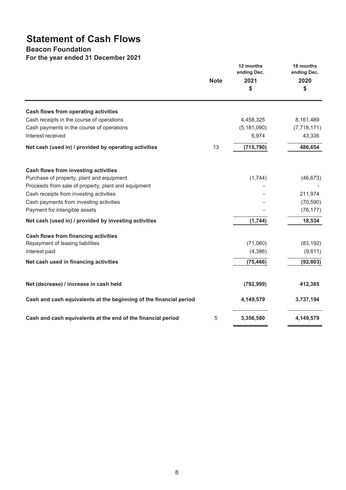# **Statement of Cash Flows**

### **Beacon Foundation**

**For the year ended 31 December 2021**

|                                                                    | <b>Note</b> | 12 months<br>ending Dec.<br>2021<br>\$ | 18 months<br>ending Dec.<br>2020<br>\$ |
|--------------------------------------------------------------------|-------------|----------------------------------------|----------------------------------------|
| Cash flows from operating activities                               |             |                                        |                                        |
| Cash receipts in the course of operations                          |             | 4,458,325                              | 8,161,489                              |
| Cash payments in the course of operations                          |             | (5, 181, 090)                          | (7,718,171)                            |
| Interest received                                                  |             | 6,974                                  | 43,336                                 |
| Net cash (used in) / provided by operating activities              | 13          | (715, 790)                             | 486,654                                |
| Cash flows from investing activities                               |             |                                        |                                        |
| Purchase of property, plant and equipment                          |             | (1,744)                                | (46, 673)                              |
| Proceeds from sale of property, plant and equipment                |             |                                        |                                        |
| Cash receipts from investing activities                            |             |                                        | 211,974                                |
| Cash payments from investing activities                            |             |                                        | (70, 590)                              |
| Payment for intangible assets                                      |             |                                        | (76, 177)                              |
| Net cash (used in) / provided by investing activities              |             | (1,744)                                | 18,534                                 |
| Cash flows from financing activities                               |             |                                        |                                        |
| Repayment of leasing liabilities                                   |             | (71,080)                               | (83, 192)                              |
| Interest paid                                                      |             | (4, 386)                               | (9,611)                                |
| Net cash used in financing activities                              |             | (75, 466)                              | (92, 803)                              |
| Net (decrease) / increase in cash held                             |             | (792, 999)                             | 412,385                                |
| Cash and cash equivalents at the beginning of the financial period |             | 4,149,579                              | 3,737,194                              |
| Cash and cash equivalents at the end of the financial period       | 5           | 3,356,580                              | 4,149,579                              |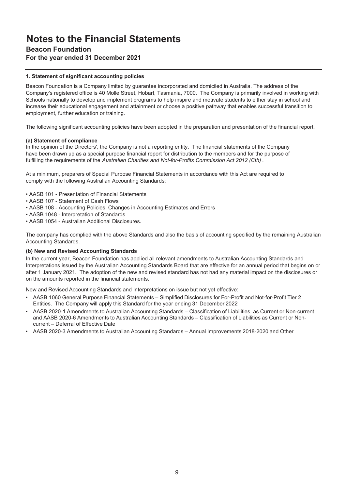### **Beacon Foundation**

### **For the year ended 31 December 2021**

### **1. Statement of significant accounting policies**

Beacon Foundation is a Company limited by guarantee incorporated and domiciled in Australia. The address of the Company's registered office is 40 Molle Street, Hobart, Tasmania, 7000. The Company is primarily involved in working with Schools nationally to develop and implement programs to help inspire and motivate students to either stay in school and increase their educational engagement and attainment or choose a positive pathway that enables successful transition to employment, further education or training.

The following significant accounting policies have been adopted in the preparation and presentation of the financial report.

### **(a) Statement of compliance**

In the opinion of the Directors', the Company is not a reporting entity. The financial statements of the Company have been drawn up as a special purpose financial report for distribution to the members and for the purpose of fulfilling the requirements of the *Australian Charities and Not-for-Profits Commission Act 2012 (Cth)* .

At a minimum, preparers of Special Purpose Financial Statements in accordance with this Act are required to comply with the following Australian Accounting Standards:

- AASB 101 Presentation of Financial Statements
- AASB 107 Statement of Cash Flows
- AASB 108 Accounting Policies, Changes in Accounting Estimates and Errors
- AASB 1048 Interpretation of Standards
- AASB 1054 Australian Additional Disclosures.

The company has complied with the above Standards and also the basis of accounting specified by the remaining Australian Accounting Standards.

### **(b) New and Revised Accounting Standards**

In the current year, Beacon Foundation has applied all relevant amendments to Australian Accounting Standards and Interpretations issued by the Australian Accounting Standards Board that are effective for an annual period that begins on or after 1 January 2021. The adoption of the new and revised standard has not had any material impact on the disclosures or on the amounts reported in the financial statements.

New and Revised Accounting Standards and Interpretations on issue but not yet effective:

- AASB 1060 General Purpose Financial Statements Simplified Disclosures for For-Profit and Not-for-Profit Tier 2 Entities. The Company will apply this Standard for the year ending 31 December 2022
- AASB 2020-1 Amendments to Australian Accounting Standards Classification of Liabilities as Current or Non-current and AASB 2020-6 Amendments to Australian Accounting Standards – Classification of Liabilities as Current or Noncurrent – Deferral of Effective Date
- AASB 2020-3 Amendments to Australian Accounting Standards Annual Improvements 2018-2020 and Other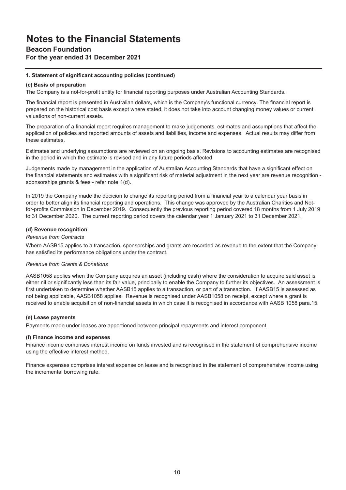### **Beacon Foundation**

### **For the year ended 31 December 2021**

### **1. Statement of significant accounting policies (continued)**

### **(c) Basis of preparation**

The Company is a not-for-profit entity for financial reporting purposes under Australian Accounting Standards.

The financial report is presented in Australian dollars, which is the Company's functional currency. The financial report is prepared on the historical cost basis except where stated, it does not take into account changing money values or current valuations of non-current assets.

The preparation of a financial report requires management to make judgements, estimates and assumptions that affect the application of policies and reported amounts of assets and liabilities, income and expenses. Actual results may differ from these estimates.

Estimates and underlying assumptions are reviewed on an ongoing basis. Revisions to accounting estimates are recognised in the period in which the estimate is revised and in any future periods affected.

Judgements made by management in the application of Australian Accounting Standards that have a significant effect on the financial statements and estimates with a significant risk of material adjustment in the next year are revenue recognition sponsorships grants & fees - refer note 1(d).

In 2019 the Company made the decicion to change its reporting period from a financial year to a calendar year basis in order to better align its financial reporting and operations. This change was approved by the Australian Charities and Notfor-profits Commission in December 2019. Consequently the previous reporting period covered 18 months from 1 July 2019 to 31 December 2020. The current reporting period covers the calendar year 1 January 2021 to 31 December 2021.

### **(d) Revenue recognition**

### *Revenue from Contracts*

Where AASB15 applies to a transaction, sponsorships and grants are recorded as revenue to the extent that the Company has satisfied its performance obligations under the contract.

### *Revenue from Grants & Donations*

AASB1058 applies when the Company acquires an asset (including cash) where the consideration to acquire said asset is either nil or significantly less than its fair value, principally to enable the Company to further its objectives. An assessment is first undertaken to determine whether AASB15 applies to a transaction, or part of a transaction. If AASB15 is assessed as not being applicable, AASB1058 applies. Revenue is recognised under AASB1058 on receipt, except where a grant is received to enable acquisition of non-financial assets in which case it is recognised in accordance with AASB 1058 para.15.

### **(e) Lease payments**

Payments made under leases are apportioned between principal repayments and interest component.

### **(f) Finance income and expenses**

Finance income comprises interest income on funds invested and is recognised in the statement of comprehensive income using the effective interest method.

Finance expenses comprises interest expense on lease and is recognised in the statement of comprehensive income using the incremental borrowing rate.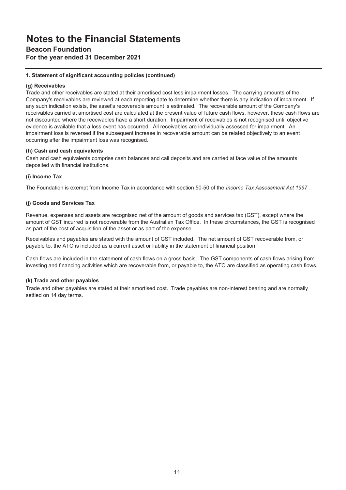### **Beacon Foundation**

**For the year ended 31 December 2021**

### **1. Statement of significant accounting policies (continued)**

### **(g) Receivables**

Trade and other receivables are stated at their amortised cost less impairment losses. The carrying amounts of the Company's receivables are reviewed at each reporting date to determine whether there is any indication of impairment. If any such indication exists, the asset's recoverable amount is estimated. The recoverable amount of the Company's receivables carried at amortised cost are calculated at the present value of future cash flows, however, these cash flows are not discounted where the receivables have a short duration. Impairment of receivables is not recognised until objective evidence is available that a loss event has occurred. All receivables are individually assessed for impairment. An impairment loss is reversed if the subsequent increase in recoverable amount can be related objectively to an event occurring after the impairment loss was recognised.

### **(h) Cash and cash equivalents**

Cash and cash equivalents comprise cash balances and call deposits and are carried at face value of the amounts deposited with financial institutions.

### **(i) Income Tax**

The Foundation is exempt from Income Tax in accordance with section 50-50 of the *Income Tax Assessment Act 1997* .

### **(j) Goods and Services Tax**

Revenue, expenses and assets are recognised net of the amount of goods and services tax (GST), except where the amount of GST incurred is not recoverable from the Australian Tax Office. In these circumstances, the GST is recognised as part of the cost of acquisition of the asset or as part of the expense.

Receivables and payables are stated with the amount of GST included. The net amount of GST recoverable from, or payable to, the ATO is included as a current asset or liability in the statement of financial position.

Cash flows are included in the statement of cash flows on a gross basis. The GST components of cash flows arising from investing and financing activities which are recoverable from, or payable to, the ATO are classified as operating cash flows.

### **(k) Trade and other payables**

Trade and other payables are stated at their amortised cost. Trade payables are non-interest bearing and are normally settled on 14 day terms.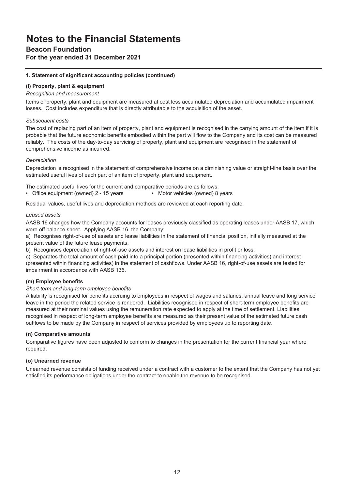### **Beacon Foundation**

### **For the year ended 31 December 2021**

### **1. Statement of significant accounting policies (continued)**

### **(l) Property, plant & equipment**

### *Recognition and measurement*

Items of property, plant and equipment are measured at cost less accumulated depreciation and accumulated impairment losses. Cost includes expenditure that is directly attributable to the acquisition of the asset.

### *Subsequent costs*

The cost of replacing part of an item of property, plant and equipment is recognised in the carrying amount of the item if it is probable that the future economic benefits embodied within the part will flow to the Company and its cost can be measured reliably. The costs of the day-to-day servicing of property, plant and equipment are recognised in the statement of comprehensive income as incurred.

### *Depreciation*

Depreciation is recognised in the statement of comprehensive income on a diminishing value or straight-line basis over the estimated useful lives of each part of an item of property, plant and equipment.

The estimated useful lives for the current and comparative periods are as follows:

• Office equipment (owned) 2 - 15 years • Motor vehicles (owned) 8 years

Residual values, useful lives and depreciation methods are reviewed at each reporting date.

### *Leased assets*

AASB 16 changes how the Company accounts for leases previously classified as operating leases under AASB 17, which were off balance sheet. Applying AASB 16, the Company:

a) Recognises right-of-use of assets and lease liabilities in the statement of financial position, initially measured at the present value of the future lease payments;

b) Recognises depreciation of right-of-use assets and interest on lease liabilities in profit or loss;

c) Separates the total amount of cash paid into a principal portion (presented within financing activities) and interest (presented within financing activities) in the statement of cashflows. Under AASB 16, right-of-use assets are tested for impairment in accordance with AASB 136.

### **(m) Employee benefits**

### *Short-term and long-term employee benefits*

A liability is recognised for benefits accruing to employees in respect of wages and salaries, annual leave and long service leave in the period the related service is rendered. Liabilities recognised in respect of short-term employee benefits are measured at their nominal values using the remuneration rate expected to apply at the time of settlement. Liabilities recognised in respect of long-term employee benefits are measured as their present value of the estimated future cash outflows to be made by the Company in respect of services provided by employees up to reporting date.

### **(n) Comparative amounts**

Comparative figures have been adjusted to conform to changes in the presentation for the current financial year where required.

### **(o) Unearned revenue**

Unearned revenue consists of funding received under a contract with a customer to the extent that the Company has not yet satisfied its performance obligations under the contract to enable the revenue to be recognised.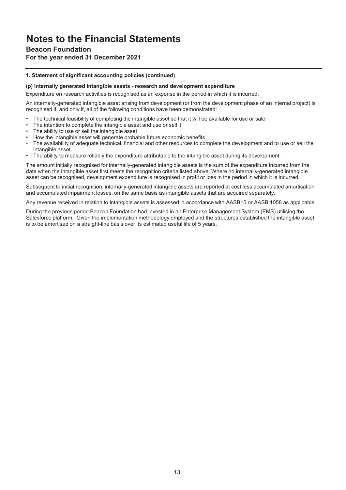### **Beacon Foundation**

### **For the year ended 31 December 2021**

### **1. Statement of significant accounting policies (continued)**

#### **(p) Internally generated intangible assets - research and development expenditure**

Expenditure on research activities is recognised as an expense in the period in which it is incurred.

An internally-generated intangible asset arising from development (or from the development phase of an internal project) is recognised if, and only if, all of the following conditions have been demonstrated:

- The technical feasibility of completing the intangible asset so that it will be available for use or sale
- The intention to complete the intangible asset and use or sell it
- The ability to use or sell the intangible asset
- How the intangible asset will generate probable future economic benefits
- The availability of adequate technical, financial and other resources to complete the development and to use or sell the intangible asset
- The ability to measure reliably the expenditure attributable to the intangible asset during its development.

The amount initially recognised for internally-generated intangible assets is the sum of the expenditure incurred from the date when the intangible asset first meets the recognition criteria listed above. Where no internally-generated intangible asset can be recognised, development expenditure is recognised in profit or loss in the period in which it is incurred.

Subsequent to initial recognition, internally-generated intangible assets are reported at cost less accumulated amortisation and accumulated impairment losses, on the same basis as intangible assets that are acquired separately.

Any revenue received in relation to intangible assets is assessed in accordance with AASB15 or AASB 1058 as applicable.

During the previous period Beacon Foundation had invested in an Enterprise Management System (EMS) utilising the Salesforce platform. Given the implementation methodology employed and the structures established the intangible asset is to be amortised on a straight-line basis over its estimated useful life of 5 years.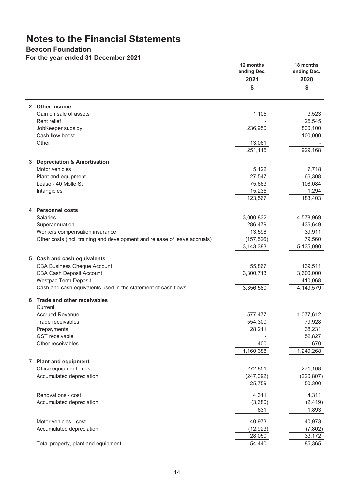### **Beacon Foundation**

**For the year ended 31 December 2021**

|              |                                                                            | 12 months<br>ending Dec. | 18 months<br>ending Dec. |
|--------------|----------------------------------------------------------------------------|--------------------------|--------------------------|
|              |                                                                            | 2021                     | 2020                     |
|              |                                                                            | \$                       | \$                       |
|              | 2 Other income                                                             |                          |                          |
|              | Gain on sale of assets                                                     | 1,105                    | 3,523                    |
|              | Rent relief                                                                |                          | 25,545                   |
|              | JobKeeper subsidy                                                          | 236,950                  | 800,100                  |
|              | Cash flow boost                                                            |                          | 100,000                  |
|              | Other                                                                      | 13,061                   |                          |
|              |                                                                            | 251,115                  | 929,168                  |
| 3            | <b>Depreciation &amp; Amortisation</b>                                     |                          |                          |
|              | Motor vehicles                                                             | 5,122                    | 7,718                    |
|              | Plant and equipment                                                        | 27,547                   | 66,308                   |
|              | Lease - 40 Molle St                                                        | 75,663                   | 108,084                  |
|              | Intangibles                                                                | 15,235                   | 1,294                    |
|              |                                                                            | 123,567                  | 183,403                  |
|              |                                                                            |                          |                          |
|              | 4 Personnel costs<br><b>Salaries</b>                                       |                          |                          |
|              |                                                                            | 3,000,832<br>286,479     | 4,578,969<br>436,649     |
|              | Superannuation<br>Workers compensation insurance                           | 13,598                   | 39,911                   |
|              | Other costs (incl. training and development and release of leave accruals) | (157, 526)               | 79,560                   |
|              |                                                                            | 3,143,383                | 5,135,090                |
|              |                                                                            |                          |                          |
|              | 5 Cash and cash equivalents                                                |                          |                          |
|              | <b>CBA Business Cheque Account</b>                                         | 55,867                   | 139,511                  |
|              | <b>CBA Cash Deposit Account</b>                                            | 3,300,713                | 3,600,000                |
|              | <b>Westpac Term Deposit</b>                                                |                          | 410,068                  |
|              | Cash and cash equivalents used in the statement of cash flows              | 3,356,580                | 4,149,579                |
| 6            | <b>Trade and other receivables</b><br>Current                              |                          |                          |
|              | <b>Accrued Revenue</b>                                                     | 577,477                  | 1,077,612                |
|              | Trade receivables                                                          | 554,300                  | 79,928                   |
|              | Prepayments                                                                | 28,211                   | 38,231                   |
|              | <b>GST</b> receivable                                                      |                          | 52,827                   |
|              | Other receivables                                                          | 400                      | 670                      |
|              |                                                                            | 1,160,388                | 1,249,268                |
| $\mathbf{7}$ | <b>Plant and equipment</b>                                                 |                          |                          |
|              | Office equipment - cost                                                    | 272,851                  | 271,108                  |
|              | Accumulated depreciation                                                   | (247, 092)               | (220, 807)               |
|              |                                                                            | 25,759                   | 50,300                   |
|              |                                                                            |                          |                          |
|              | Renovations - cost                                                         | 4,311                    | 4,311                    |
|              | Accumulated depreciation                                                   | (3,680)                  | (2, 419)                 |
|              |                                                                            | 631                      | 1,893                    |
|              | Motor vehicles - cost                                                      | 40,973                   | 40,973                   |
|              | Accumulated depreciation                                                   | (12, 923)                | (7, 802)                 |
|              |                                                                            | 28,050                   | 33,172                   |
|              | Total property, plant and equipment                                        | 54,440                   | 85,365                   |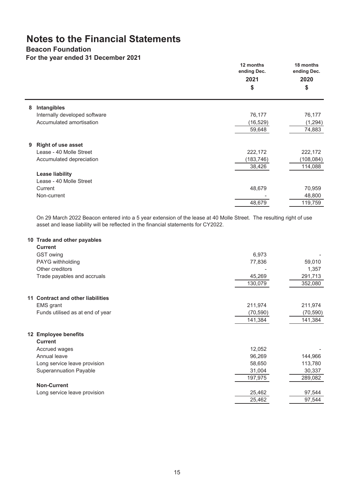### **Beacon Foundation**

### **For the year ended 31 December 2021**

|   |                               | 12 months<br>ending Dec.<br>2021<br>\$ | 18 months<br>ending Dec.<br>2020<br>\$ |
|---|-------------------------------|----------------------------------------|----------------------------------------|
| 8 | Intangibles                   |                                        |                                        |
|   | Internally developed software | 76,177                                 | 76,177                                 |
|   | Accumulated amortisation      | (16, 529)                              | (1, 294)                               |
|   |                               | 59,648                                 | 74,883                                 |
| 9 | <b>Right of use asset</b>     |                                        |                                        |
|   | Lease - 40 Molle Street       | 222,172                                | 222,172                                |
|   | Accumulated depreciation      | (183, 746)                             | (108, 084)                             |
|   |                               | 38,426                                 | 114,088                                |
|   | <b>Lease liability</b>        |                                        |                                        |
|   | Lease - 40 Molle Street       |                                        |                                        |
|   | Current                       | 48,679                                 | 70,959                                 |
|   | Non-current                   |                                        | 48,800                                 |
|   |                               | 48,679                                 | 119,759                                |

On 29 March 2022 Beacon entered into a 5 year extension of the lease at 40 Molle Street. The resulting right of use asset and lease liability will be reflected in the financial statements for CY2022.

### **10 Trade and other payables**

| <b>Current</b>                    |           |           |
|-----------------------------------|-----------|-----------|
| GST owing                         | 6,973     |           |
| PAYG withholding                  | 77,836    | 59,010    |
| Other creditors                   |           | 1,357     |
| Trade payables and accruals       | 45,269    | 291,713   |
|                                   | 130,079   | 352,080   |
| 11 Contract and other liabilities |           |           |
| <b>EMS</b> grant                  | 211,974   | 211,974   |
| Funds utilised as at end of year  | (70, 590) | (70, 590) |
|                                   | 141,384   | 141,384   |
| 12 Employee benefits              |           |           |
| <b>Current</b>                    |           |           |
| Accrued wages                     | 12,052    |           |
| Annual leave                      | 96,269    | 144,966   |
| Long service leave provision      | 58,650    | 113,780   |
| <b>Superannuation Payable</b>     | 31,004    | 30,337    |
|                                   | 197,975   | 289,082   |
| <b>Non-Current</b>                |           |           |
| Long service leave provision      | 25,462    | 97,544    |
|                                   | 25,462    | 97,544    |
|                                   |           |           |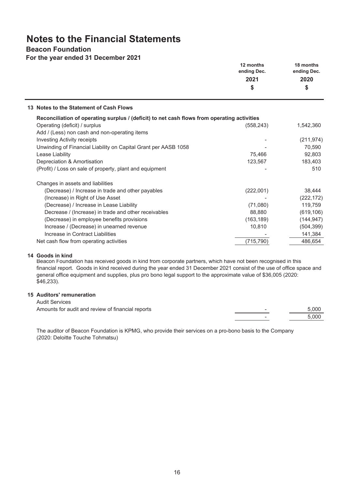### **Beacon Foundation**

**For the year ended 31 December 2021**

|                                                                                             | 12 months<br>ending Dec.<br>2021<br>\$ | 18 months<br>ending Dec.<br>2020<br>\$ |
|---------------------------------------------------------------------------------------------|----------------------------------------|----------------------------------------|
| 13 Notes to the Statement of Cash Flows                                                     |                                        |                                        |
| Reconciliation of operating surplus / (deficit) to net cash flows from operating activities |                                        |                                        |
| Operating (deficit) / surplus                                                               | (558, 243)                             | 1,542,360                              |
| Add / (Less) non cash and non-operating items                                               |                                        |                                        |
| <b>Investing Activity receipts</b>                                                          |                                        | (211, 974)                             |
| Unwinding of Financial Liability on Capital Grant per AASB 1058                             |                                        | 70,590                                 |
| Lease Liability                                                                             | 75,466                                 | 92,803                                 |
| Depreciation & Amortisation                                                                 | 123,567                                | 183,403                                |
| (Profit) / Loss on sale of property, plant and equipment                                    |                                        | 510                                    |
| Changes in assets and liabilities                                                           |                                        |                                        |
| (Decrease) / Increase in trade and other payables                                           | (222,001)                              | 38,444                                 |
| (Increase) in Right of Use Asset                                                            |                                        | (222, 172)                             |
| (Decrease) / Increase in Lease Liability                                                    | (71,080)                               | 119,759                                |
| Decrease / (Increase) in trade and other receivables                                        | 88,880                                 | (619, 106)                             |
| (Decrease) in employee benefits provisions                                                  | (163, 189)                             | (144, 947)                             |
| Increase / (Decrease) in unearned revenue                                                   | 10,810                                 | (504, 399)                             |
| Increase in Contract Liabilities                                                            |                                        | 141,384                                |
| Net cash flow from operating activities                                                     | (715, 790)                             | 486,654                                |

### **14 Goods in kind**

Beacon Foundation has received goods in kind from corporate partners, which have not been recognised in this financial report. Goods in kind received during the year ended 31 December 2021 consist of the use of office space and general office equipment and supplies, plus pro bono legal support to the approximate value of \$36,005 (2020: \$46,233).

### **15 Auditors' remuneration**

| <b>Audit Services</b>                             |                          |       |
|---------------------------------------------------|--------------------------|-------|
| Amounts for audit and review of financial reports | $\overline{\phantom{a}}$ | 5.000 |
|                                                   | $\overline{\phantom{a}}$ | 5.000 |

The auditor of Beacon Foundation is KPMG, who provide their services on a pro-bono basis to the Company (2020: Deloitte Touche Tohmatsu)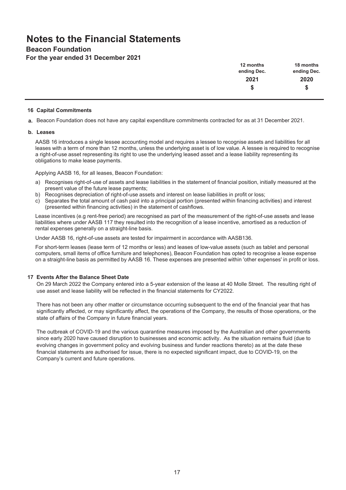### **Beacon Foundation**

**For the year ended 31 December 2021**

| 12 months   | 18 months   |
|-------------|-------------|
| ending Dec. | ending Dec. |
| 2021        | 2020        |
|             |             |
|             |             |

#### **16 Capital Commitments**

**a.** Beacon Foundation does not have any capital expenditure commitments contracted for as at 31 December 2021.

#### **b. Leases**

AASB 16 introduces a single lessee accounting model and requires a lessee to recognise assets and liabilities for all leases with a term of more than 12 months, unless the underlying asset is of low value. A lessee is required to recognise a right-of-use asset representing its right to use the underlying leased asset and a lease liability representing its obligations to make lease payments.

Applying AASB 16, for all leases, Beacon Foundation:

- a) Recognises right-of-use of assets and lease liabilities in the statement of financial position, initially measured at the present value of the future lease payments;
- b) Recognises depreciation of right-of-use assets and interest on lease liabilities in profit or loss;
- c) Separates the total amount of cash paid into a principal portion (presented within financing activities) and interest (presented within financing activities) in the statement of cashflows.

Lease incentives (e.g rent-free period) are recognised as part of the measurement of the right-of-use assets and lease liabilities where under AASB 117 they resulted into the recognition of a lease incentive, amortised as a reduction of rental expenses generally on a straight-line basis.

Under AASB 16, right-of-use assets are tested for impairment in accordance with AASB136.

For short-term leases (lease term of 12 months or less) and leases of low-value assets (such as tablet and personal computers, small items of office furniture and telephones), Beacon Foundation has opted to recognise a lease expense on a straight-line basis as permitted by AASB 16. These expenses are presented within 'other expenses' in profit or loss.

### **17 Events After the Balance Sheet Date**

On 29 March 2022 the Company entered into a 5-year extension of the lease at 40 Molle Street. The resulting right of use asset and lease liability will be reflected in the financial statements for CY2022.

There has not been any other matter or circumstance occurring subsequent to the end of the financial year that has significantly affected, or may significantly affect, the operations of the Company, the results of those operations, or the state of affairs of the Company in future financial years.

The outbreak of COVID-19 and the various quarantine measures imposed by the Australian and other governments since early 2020 have caused disruption to businesses and economic activity. As the situation remains fluid (due to evolving changes in government policy and evolving business and funder reactions thereto) as at the date these financial statements are authorised for issue, there is no expected significant impact, due to COVID-19, on the Company's current and future operations.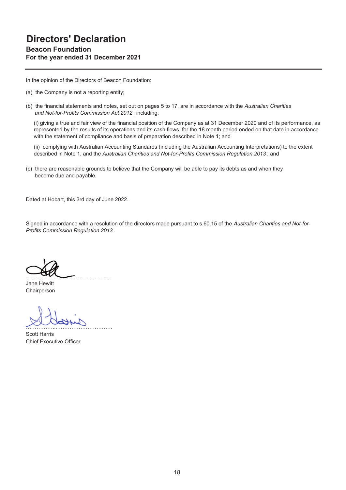**For the year ended 31 December 2021**

In the opinion of the Directors of Beacon Foundation:

- (a) the Company is not a reporting entity;
- (b) the financial statements and notes, set out on pages 5 to 17, are in accordance with the *Australian Charities and Not-for-Profits Commission Act 2012* , including:

(i) giving a true and fair view of the financial position of the Company as at 31 December 2020 and of its performance, as represented by the results of its operations and its cash flows, for the 18 month period ended on that date in accordance with the statement of compliance and basis of preparation described in Note 1; and

(ii) complying with Australian Accounting Standards (including the Australian Accounting Interpretations) to the extent described in Note 1, and the *Australian Charities and Not-for-Profits Commission Regulation 2013* ; and

(c) there are reasonable grounds to believe that the Company will be able to pay its debts as and when they become due and payable.

Dated at Hobart, this 3rd day of June 2022.

……………...………………………….

Signed in accordance with a resolution of the directors made pursuant to s.60.15 of the *Australian Charities and Not-for-Profits Commission Regulation 2013* .

Jane Hewitt Chairperson

……………...………………………….

Scott Harris Chief Executive Officer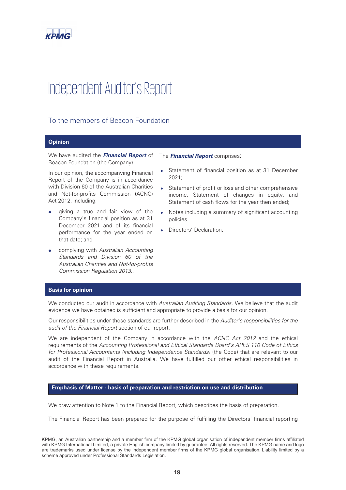

# Independent Auditor's Report

### To the members of Beacon Foundation

### **Opinion**

We have audited the *Financial Report* of Beacon Foundation (the Company).

In our opinion, the accompanying Financial Report of the Company is in accordance with Division 60 of the Australian Charities and Not-for-profits Commission (ACNC) Act 2012, including:

- giving a true and fair view of the Company's financial position as at 31 December 2021 and of its financial performance for the year ended on that date; and
- x complying with *Australian Accounting Standards and Division 60 of the Australian Charities and Not-for-profits Commission Regulation 2013.*.

The *Financial Report* comprises:

- Statement of financial position as at 31 December 2021;
- Statement of profit or loss and other comprehensive income, Statement of changes in equity, and Statement of cash flows for the year then ended;
- Notes including a summary of significant accounting policies
- Directors' Declaration.

### **Basis for opinion**

We conducted our audit in accordance with *Australian Auditing Standards*. We believe that the audit evidence we have obtained is sufficient and appropriate to provide a basis for our opinion.

Our responsibilities under those standards are further described in the *Auditor's responsibilities for the audit of the Financial Report* section of our report.

We are independent of the Company in accordance with the *ACNC Act 2012* and the ethical requirements of the *Accounting Professional and Ethical Standards Board's APES 110 Code of Ethics for Professional Accountants (including Independence Standards)* (the Code) that are relevant to our audit of the Financial Report in Australia. We have fulfilled our other ethical responsibilities in accordance with these requirements.

#### **Emphasis of Matter - basis of preparation and restriction on use and distribution**

We draw attention to Note 1 to the Financial Report, which describes the basis of preparation.

The Financial Report has been prepared for the purpose of fulfilling the Directors' financial reporting

KPMG, an Australian partnership and a member firm of the KPMG global organisation of independent member firms affiliated with KPMG International Limited, a private English company limited by guarantee. All rights reserved. The KPMG name and logo are trademarks used under license by the independent member firms of the KPMG global organisation. Liability limited by a scheme approved under Professional Standards Legislation.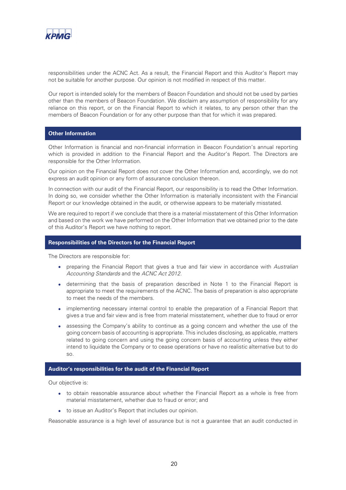

responsibilities under the ACNC Act. As a result, the Financial Report and this Auditor's Report may not be suitable for another purpose. Our opinion is not modified in respect of this matter.

Our report is intended solely for the members of Beacon Foundation and should not be used by parties other than the members of Beacon Foundation. We disclaim any assumption of responsibility for any reliance on this report, or on the Financial Report to which it relates, to any person other than the members of Beacon Foundation or for any other purpose than that for which it was prepared.

### **Other Information**

Other Information is financial and non-financial information in Beacon Foundation's annual reporting which is provided in addition to the Financial Report and the Auditor's Report. The Directors are responsible for the Other Information.

Our opinion on the Financial Report does not cover the Other Information and, accordingly, we do not express an audit opinion or any form of assurance conclusion thereon.

In connection with our audit of the Financial Report, our responsibility is to read the Other Information. In doing so, we consider whether the Other Information is materially inconsistent with the Financial Report or our knowledge obtained in the audit, or otherwise appears to be materially misstated.

We are required to report if we conclude that there is a material misstatement of this Other Information and based on the work we have performed on the Other Information that we obtained prior to the date of this Auditor's Report we have nothing to report.

### **Responsibilities of the Directors for the Financial Report**

The Directors are responsible for:

- x preparing the Financial Report that gives a true and fair view in accordance with *Australian Accounting Standards* and the *ACNC Act 2012.*
- determining that the basis of preparation described in Note 1 to the Financial Report is appropriate to meet the requirements of the ACNC. The basis of preparation is also appropriate to meet the needs of the members.
- implementing necessary internal control to enable the preparation of a Financial Report that gives a true and fair view and is free from material misstatement, whether due to fraud or error
- assessing the Company's ability to continue as a going concern and whether the use of the going concern basis of accounting is appropriate. This includes disclosing, as applicable, matters related to going concern and using the going concern basis of accounting unless they either intend to liquidate the Company or to cease operations or have no realistic alternative but to do so.

### **Auditor's responsibilities for the audit of the Financial Report**

Our objective is:

- to obtain reasonable assurance about whether the Financial Report as a whole is free from material misstatement, whether due to fraud or error; and
- $\bullet$  to issue an Auditor's Report that includes our opinion.

Reasonable assurance is a high level of assurance but is not a guarantee that an audit conducted in